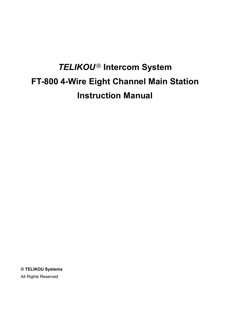# *TELIKOU* **Intercom System FT-800 4-Wire Eight Channel Main Station Instruction Manual**

**© TELIKOU Systems** All Rights Reserved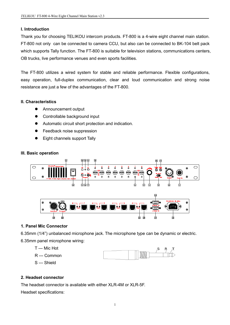# **I. Introduction**

Thank you for choosing TELIKOU intercom products.FT-800 is a 4-wire eight channel main station. FT-800 not only can be connected to camera CCU, but also can be connected to BK-104 belt pack which supports Tally function. The FT-800 is suitable for television stations, communications centers, OB trucks, live performance venues and even sports facilities.

The FT-800 utilizes a wired system for stable and reliable performance. Flexible configurations, easy operation, full-duplex communication, clear and loud communication and strong noise resistance are just a few of the advantages of the FT-800.

# **II. Characteristics**

- **•** Announcement output
- Controllable background input
- Automatic circuit short protection and indication.
- **•** Feedback noise suppression
- Eight channels support Tally

#### **III. Basic operation**



# **1. Panel Mic Connector**

6.35mm (1/4") unbalanced microphone jack. The microphone type can be dynamic or electric.

6.35mm panel microphone wiring:

T --- Mic Hot



#### **2. Headset connector**

The headset connector is available with either XLR-4M or XLR-5F.

Headset specifications: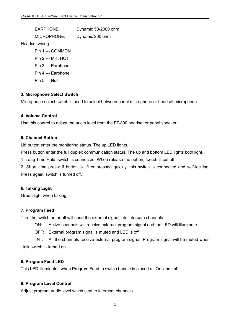EARPHONE: Dynamic 50-2000 ohm MICROPHONE: Dynamic 200 ohm Headset wiring: Pin 1 --- COMMON Pin 2 --- Mic. HOT Pin 3 --- Earphone - Pin 4 --- Earphone + Pin 5 --- Null

#### **3. Microphone Select Switch**

Microphone select switch is used to select between panel microphone or headset microphone.

#### **4. Volume Control**

Use this control to adjust the audio level from the FT-800 headset or panel speaker.

#### **5. Channel Button**

Lift button enter the monitoring status. The up LED lights.

Press button enter the full duplex communication status. The up and bottom LED lights both light.

1. Long Time Hold: switch is connected. When release the button, switch is cut off.

2. Short time press: if button is lift or pressed quickly, this switch is connected and self-locking. Press again, switch is turned off.

#### **6. Talking Light**

Green light when talking.

#### **7. Program Feed**

Turn the switch on or off will send the external signal into intercom channels.

ON: Active channels will receive external program signal and the LED will illuminate.

OFF: External program signal is muted and LED is off.

INT: All the channels receive external program signal. Program signal will be muted when talk switch is turned on.

# **8. Program Feed LED**

This LED illuminates when Program Feed to switch handle is placed at 'On' and 'Int'.

#### **9. Program Level Control**

Adjust program audio level which sent to intercom channels.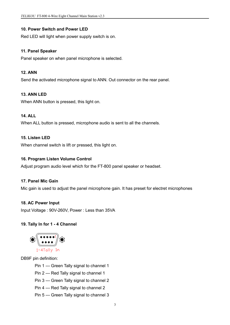## **10. Power Switch and Power LED**

Red LED will light when power supply switch is on.

#### **11. Panel Speaker**

Panel speaker on when panel microphone is selected.

#### **12. ANN**

Send the activated microphone signal to ANN. Out connector on the rear panel.

## **13. ANN LED**

When ANN button is pressed, this light on.

## **14. ALL**

When ALL button is pressed, microphone audio is sent to all the channels.

## **15. Listen LED**

When channel switch is lift or pressed, this light on.

## **16. Program Listen Volume Control**

Adjust program audio level which for the FT-800 panel speaker or headset.

#### **17. Panel Mic Gain**

Mic gain is used to adjust the panel microphone gain. It has preset for electret microphones

#### **18. AC Power Input**

Input Voltage : 90V-260V, Power : Less than 35VA

# **19. Tally In for 1 -4 Channel**



DB9F pin definition:

Pin 1 --- Green Tally signal to channel 1

Pin 2 --- Red Tally signal to channel 1

Pin 3 --- Green Tally signal to channel 2

Pin 4 --- Red Tally signal to channel 2

Pin 5 --- Green Tally signal to channel 3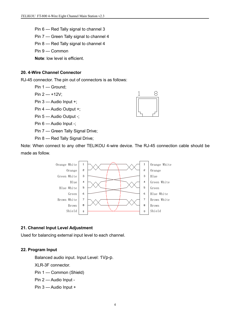- Pin 6 --- Red Tally signal to channel 3
- Pin 7 --- Green Tally signal to channel 4
- Pin 8 --- Red Tally signal to channel 4
- Pin 9 --- Common

**Note**: low level is efficient.

#### **20. 4-Wire Channel Connector**

RJ-45 connector. The pin out of connectors is as follows:

Pin 1 --- Ground;

Pin 2 --- +12V;

Pin 3 --- Audio Input +;

Pin 4 --- Audio Output +;

Pin 5 --- Audio Output -:

Pin 6 --- Audio Input -;

Pin 7 --- Green Tally Signal Drive;

Pin 8 --- Red Tally Signal Drive;

Note: When connect to any other TELIKOU 4-wire device. The RJ-45 connection cable should be made as follow.



#### **21. Channel Input Level Adjustment**

Used for balancing external input level to each channel.

#### **22. Program Input**

Balanced audio input. Input Level: 1Vp-p.

XLR-3F connector.

Pin 1 --- Common (Shield)

- Pin 2 --- Audio Input -
- Pin 3 --- Audio Input +

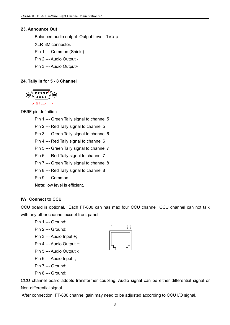## **23. Announce Out**

Balanced audio output. Output Level: 1Vp-p.

XLR-3M connector.

Pin 1 --- Common (Shield)

Pin 2 --- Audio Output -

Pin 3 --- Audio Output+

# **24. Tally In for 5 -8 Channel**



DB9F pin definition:

- Pin 1 --- Green Tally signal to channel 5
- Pin 2 --- Red Tally signal to channel 5

Pin 3 --- Green Tally signal to channel 6

Pin 4 --- Red Tally signal to channel 6

Pin 5 --- Green Tally signal to channel 7

- Pin 6 --- Red Tally signal to channel 7
- Pin 7 --- Green Tally signal to channel 8
- Pin 8 --- Red Tally signal to channel 8
- Pin 9 --- Common

**Note**: low level is efficient.

# **IV**:**Connect to CCU**

CCU board is optional. Each FT-800 can has max four CCU channel. CCU channel can not talk with any other channel except front panel.



Pin 2 --- Ground;

Pin 3 --- Audio Input +;

Pin 4 --- Audio Output +;

Pin 5 --- Audio Output -;

Pin 6 --- Audio Input -;

Pin 7 --- Ground;

Pin 8 --- Ground;

CCU channel board adopts transformer coupling. Audio signal can be either differential signal or Non-differential signal.

After connection, FT-800 channel gain may need to be adjusted according to CCU I/O signal.

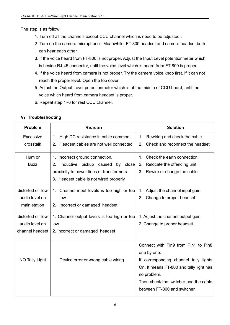The step is as follow:

- 1. Turn off all the channels except CCU channel which is need to be adjusted .
- 2. Turn on the camera microphone . Meanwhile, FT-800 headset and camera headset both can hear each other.
- 3. If the voice heard from FT-800 is not proper. Adjust the Input Level potentionmeter which is beside RJ-45 connector, until the voice level which is heard from FT-800 is proper.
- 4. If the voice heard from camera is not proper. Try the camera voice knob first. If it can not reach the proper level. Open the top cover.
- 5. Adjust the Output Level potentionmeter which is at the middle of CCU board, until the voice which heard from camera headset is proper.
- 6. Repeat step 1~6 for rest CCU channel.

| <b>Problem</b>   | <b>Reason</b>                                           | <b>Solution</b>                                   |
|------------------|---------------------------------------------------------|---------------------------------------------------|
| Excessive        | High DC resistance in cable common.<br>$1_{\cdot}$      | Rewiring and check the cable<br>1.                |
| crosstalk        | Headset cables are not well connected<br>2 <sub>1</sub> | Check and reconnect the headset<br>2 <sub>1</sub> |
| Hum or           | 1. Incorrect ground connection.                         | 1. Check the earth connection.                    |
| <b>Buzz</b>      | 2. Inductive pickup caused by close                     | 2. Relocate the offending unit.                   |
|                  | proximity to power lines or transformers.               | 3. Rewire or change the cable.                    |
|                  | 3. Headset cable is not wired properly                  |                                                   |
| distorted or low | 1. Channel input levels is too high or too              | Adjust the channel input gain<br>$1_{\cdot}$      |
| audio level on   | low                                                     | Change to proper headset<br>2 <sub>1</sub>        |
| main station     | Incorrect or damaged headset<br>2.                      |                                                   |
| distorted or low | 1. Channel output levels is too high or too             | 1. Adjust the channel output gain                 |
| audio level on   | low                                                     | 2. Change to proper headset                       |
| channel headset  | 2. Incorrect or damaged headset                         |                                                   |
|                  |                                                         | Connect with Pin9 from Pin1 to Pin8               |
|                  |                                                         | one by one.                                       |
| NO Tally Light   | Device error or wrong cable wiring                      | If corresponding channel tally lights             |
|                  |                                                         | On. It means FT-800 and tally light has           |
|                  |                                                         | no problem.                                       |
|                  |                                                         | Then check the switcher and the cable             |
|                  |                                                         | between FT-800 and switcher.                      |
|                  |                                                         |                                                   |

# **V**:**Troubleshooting**